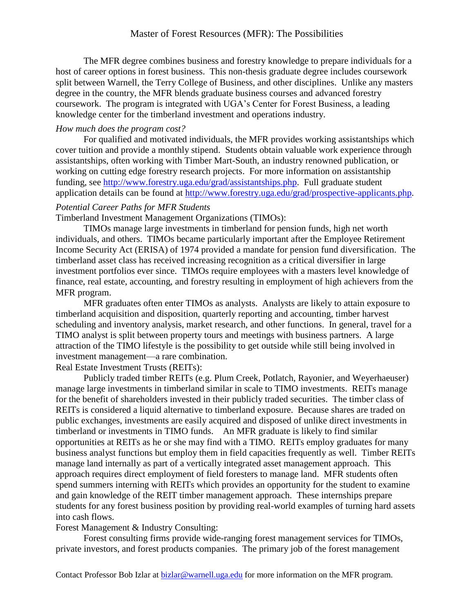The MFR degree combines business and forestry knowledge to prepare individuals for a host of career options in forest business. This non-thesis graduate degree includes coursework split between Warnell, the Terry College of Business, and other disciplines. Unlike any masters degree in the country, the MFR blends graduate business courses and advanced forestry coursework. The program is integrated with UGA's Center for Forest Business, a leading knowledge center for the timberland investment and operations industry.

## *How much does the program cost?*

For qualified and motivated individuals, the MFR provides working assistantships which cover tuition and provide a monthly stipend. Students obtain valuable work experience through assistantships, often working with Timber Mart-South, an industry renowned publication, or working on cutting edge forestry research projects. For more information on assistantship funding, see [http://www.forestry.uga.edu/grad/assistantships.php.](http://www.forestry.uga.edu/grad/assistantships.php) Full graduate student application details can be found at [http://www.forestry.uga.edu/grad/prospective-applicants.php.](http://www.forestry.uga.edu/grad/prospective-applicants.php)

# *Potential Career Paths for MFR Students*

Timberland Investment Management Organizations (TIMOs):

TIMOs manage large investments in timberland for pension funds, high net worth individuals, and others. TIMOs became particularly important after the Employee Retirement Income Security Act (ERISA) of 1974 provided a mandate for pension fund diversification. The timberland asset class has received increasing recognition as a critical diversifier in large investment portfolios ever since. TIMOs require employees with a masters level knowledge of finance, real estate, accounting, and forestry resulting in employment of high achievers from the MFR program.

MFR graduates often enter TIMOs as analysts. Analysts are likely to attain exposure to timberland acquisition and disposition, quarterly reporting and accounting, timber harvest scheduling and inventory analysis, market research, and other functions. In general, travel for a TIMO analyst is split between property tours and meetings with business partners. A large attraction of the TIMO lifestyle is the possibility to get outside while still being involved in investment management—a rare combination.

Real Estate Investment Trusts (REITs):

Publicly traded timber REITs (e.g. Plum Creek, Potlatch, Rayonier, and Weyerhaeuser) manage large investments in timberland similar in scale to TIMO investments. REITs manage for the benefit of shareholders invested in their publicly traded securities. The timber class of REITs is considered a liquid alternative to timberland exposure. Because shares are traded on public exchanges, investments are easily acquired and disposed of unlike direct investments in timberland or investments in TIMO funds. An MFR graduate is likely to find similar opportunities at REITs as he or she may find with a TIMO. REITs employ graduates for many business analyst functions but employ them in field capacities frequently as well. Timber REITs manage land internally as part of a vertically integrated asset management approach. This approach requires direct employment of field foresters to manage land. MFR students often spend summers interning with REITs which provides an opportunity for the student to examine and gain knowledge of the REIT timber management approach. These internships prepare students for any forest business position by providing real-world examples of turning hard assets into cash flows.

Forest Management & Industry Consulting:

Forest consulting firms provide wide-ranging forest management services for TIMOs, private investors, and forest products companies. The primary job of the forest management

Contact Professor Bob Izlar at bizlar@warnell.uga.edu for more information on the MFR program.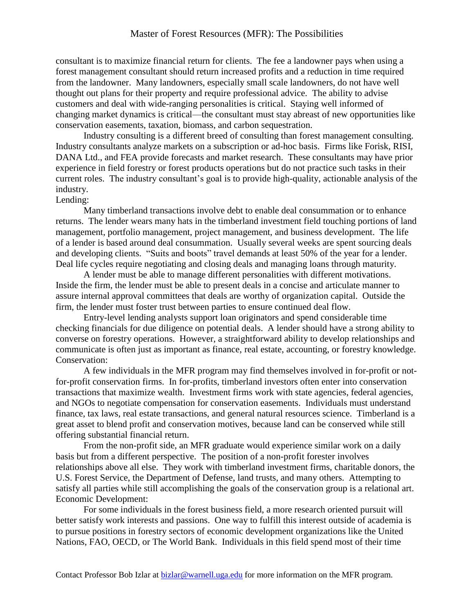## Master of Forest Resources (MFR): The Possibilities

consultant is to maximize financial return for clients. The fee a landowner pays when using a forest management consultant should return increased profits and a reduction in time required from the landowner. Many landowners, especially small scale landowners, do not have well thought out plans for their property and require professional advice. The ability to advise customers and deal with wide-ranging personalities is critical. Staying well informed of changing market dynamics is critical—the consultant must stay abreast of new opportunities like conservation easements, taxation, biomass, and carbon sequestration.

Industry consulting is a different breed of consulting than forest management consulting. Industry consultants analyze markets on a subscription or ad-hoc basis. Firms like Forisk, RISI, DANA Ltd., and FEA provide forecasts and market research. These consultants may have prior experience in field forestry or forest products operations but do not practice such tasks in their current roles. The industry consultant's goal is to provide high-quality, actionable analysis of the industry.

#### Lending:

Many timberland transactions involve debt to enable deal consummation or to enhance returns. The lender wears many hats in the timberland investment field touching portions of land management, portfolio management, project management, and business development. The life of a lender is based around deal consummation. Usually several weeks are spent sourcing deals and developing clients. "Suits and boots" travel demands at least 50% of the year for a lender. Deal life cycles require negotiating and closing deals and managing loans through maturity.

A lender must be able to manage different personalities with different motivations. Inside the firm, the lender must be able to present deals in a concise and articulate manner to assure internal approval committees that deals are worthy of organization capital. Outside the firm, the lender must foster trust between parties to ensure continued deal flow.

Entry-level lending analysts support loan originators and spend considerable time checking financials for due diligence on potential deals. A lender should have a strong ability to converse on forestry operations. However, a straightforward ability to develop relationships and communicate is often just as important as finance, real estate, accounting, or forestry knowledge. Conservation:

A few individuals in the MFR program may find themselves involved in for-profit or notfor-profit conservation firms. In for-profits, timberland investors often enter into conservation transactions that maximize wealth. Investment firms work with state agencies, federal agencies, and NGOs to negotiate compensation for conservation easements. Individuals must understand finance, tax laws, real estate transactions, and general natural resources science. Timberland is a great asset to blend profit and conservation motives, because land can be conserved while still offering substantial financial return.

From the non-profit side, an MFR graduate would experience similar work on a daily basis but from a different perspective. The position of a non-profit forester involves relationships above all else. They work with timberland investment firms, charitable donors, the U.S. Forest Service, the Department of Defense, land trusts, and many others. Attempting to satisfy all parties while still accomplishing the goals of the conservation group is a relational art. Economic Development:

For some individuals in the forest business field, a more research oriented pursuit will better satisfy work interests and passions. One way to fulfill this interest outside of academia is to pursue positions in forestry sectors of economic development organizations like the United Nations, FAO, OECD, or The World Bank. Individuals in this field spend most of their time